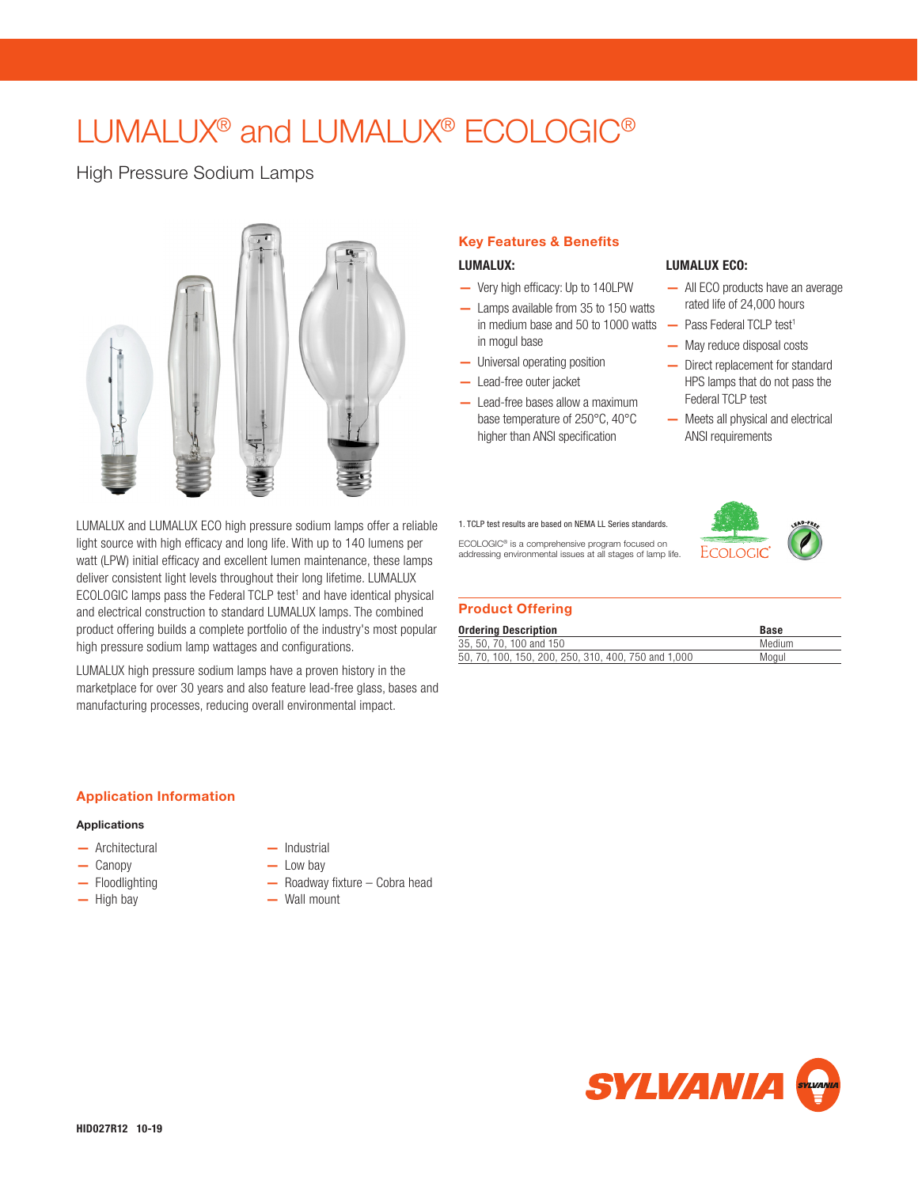# LUMALUX® and LUMALUX® ECOLOGIC®

High Pressure Sodium Lamps



LUMALUX and LUMALUX ECO high pressure sodium lamps offer a reliable light source with high efficacy and long life. With up to 140 lumens per watt (LPW) initial efficacy and excellent lumen maintenance, these lamps deliver consistent light levels throughout their long lifetime. LUMALUX ECOLOGIC lamps pass the Federal TCLP test<sup>1</sup> and have identical physical and electrical construction to standard LUMALUX lamps. The combined product offering builds a complete portfolio of the industry's most popular high pressure sodium lamp wattages and configurations.

LUMALUX high pressure sodium lamps have a proven history in the marketplace for over 30 years and also feature lead-free glass, bases and manufacturing processes, reducing overall environmental impact.

## Key Features & Benefits LUMALUX:

- Very high efficacy: Up to 140LPW
- Lamps available from 35 to 150 watts in medium base and 50 to 1000 watts  $-$  Pass Federal TCLP test<sup>1</sup> in mogul base
- Universal operating position
- Lead-free outer jacket
- Lead-free bases allow a maximum base temperature of 250°C, 40°C higher than ANSI specification

#### LUMALUX ECO:

- All ECO products have an average rated life of 24,000 hours
- 
- May reduce disposal costs
- Direct replacement for standard HPS lamps that do not pass the Federal TCLP test
- Meets all physical and electrical ANSI requirements

Fcoi oc

1. TCLP test results are based on NEMA LL Series standards.

ECOLOGIC® is a comprehensive program focused on addressing environmental issues at all stages of lamp life.

### Product Offering

| <b>Ordering Description</b><br><b>Base</b>          |        |  |  |  |  |
|-----------------------------------------------------|--------|--|--|--|--|
| 35, 50, 70, 100 and 150                             | Medium |  |  |  |  |
| 50, 70, 100, 150, 200, 250, 310, 400, 750 and 1,000 | Mogul  |  |  |  |  |

## Application Information

#### Applications

— Architectural

— Floodlighting — High bay

— Canopy

- Industrial — Low bay
	- Roadway fixture Cobra head
- Wall mount

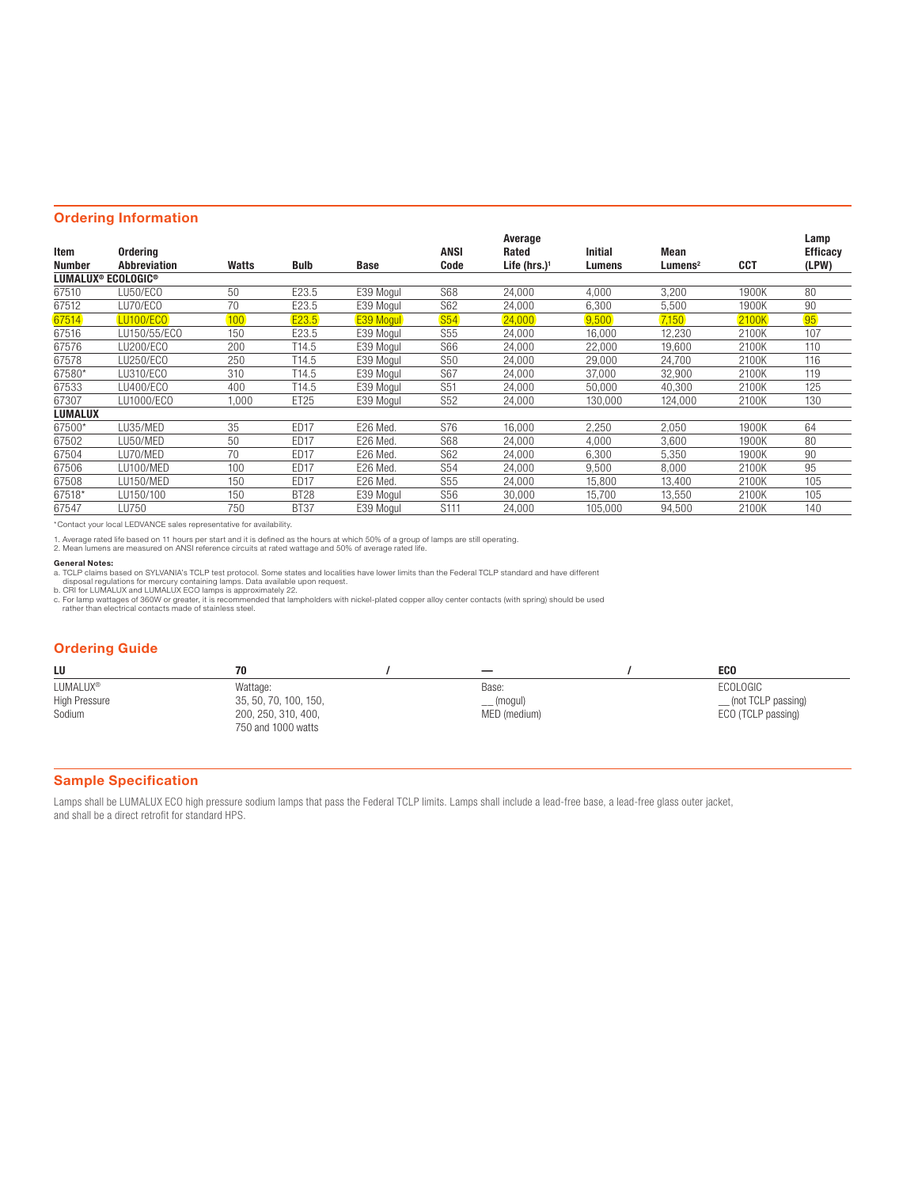#### Ordering Information

|                    |                     |       |                  |                  |                 | Average         |                |                     |       | Lamp            |
|--------------------|---------------------|-------|------------------|------------------|-----------------|-----------------|----------------|---------------------|-------|-----------------|
| Item               | <b>Ordering</b>     |       |                  |                  | <b>ANSI</b>     | Rated           | <b>Initial</b> | Mean                |       | <b>Efficacy</b> |
| Number             | <b>Abbreviation</b> | Watts | <b>Bulb</b>      | <b>Base</b>      | Code            | Life (hrs.) $1$ | Lumens         | Lumens <sup>2</sup> | CCT   | (LPW)           |
| LUMALUX® ECOLOGIC® |                     |       |                  |                  |                 |                 |                |                     |       |                 |
| 67510              | LU50/ECO            | 50    | E23.5            | E39 Mogul        | S68             | 24,000          | 4,000          | 3,200               | 1900K | 80              |
| 67512              | LU70/ECO            | 70    | E23.5            | E39 Mogul        | S62             | 24,000          | 6,300          | 5,500               | 1900K | 90              |
| 67514              | LU100/ECO           | 100   | E23.5            | <b>E39 Mogul</b> | <b>S54</b>      | 24,000          | 9.500          | 7.150               | 2100K | 95              |
| 67516              | LU150/55/ECO        | 150   | E23.5            | E39 Mogul        | <b>S55</b>      | 24,000          | 16,000         | 12,230              | 2100K | 107             |
| 67576              | LU200/ECO           | 200   | T14.5            | E39 Mogul        | S66             | 24,000          | 22,000         | 19,600              | 2100K | 110             |
| 67578              | LU250/ECO           | 250   | T14.5            | E39 Mogul        | <b>S50</b>      | 24,000          | 29,000         | 24,700              | 2100K | 116             |
| 67580*             | LU310/ECO           | 310   | T14.5            | E39 Mogul        | S67             | 24,000          | 37.000         | 32,900              | 2100K | 119             |
| 67533              | LU400/ECO           | 400   | T14.5            | E39 Mogul        | S <sub>51</sub> | 24,000          | 50.000         | 40,300              | 2100K | 125             |
| 67307              | LU1000/ECO          | 1.000 | ET25             | E39 Mogul        | S <sub>52</sub> | 24,000          | 130,000        | 124,000             | 2100K | 130             |
| LUMALUX            |                     |       |                  |                  |                 |                 |                |                     |       |                 |
| 67500*             | LU35/MED            | 35    | ED <sub>17</sub> | E26 Med.         | S76             | 16,000          | 2,250          | 2,050               | 1900K | 64              |
| 67502              | LU50/MED            | 50    | ED <sub>17</sub> | E26 Med.         | S68             | 24,000          | 4.000          | 3,600               | 1900K | 80              |
| 67504              | LU70/MED            | 70    | ED <sub>17</sub> | E26 Med.         | S62             | 24,000          | 6.300          | 5,350               | 1900K | 90              |
| 67506              | LU100/MED           | 100   | ED <sub>17</sub> | E26 Med.         | S54             | 24,000          | 9,500          | 8,000               | 2100K | 95              |
| 67508              | LU150/MED           | 150   | <b>ED17</b>      | E26 Med.         | S55             | 24,000          | 15,800         | 13,400              | 2100K | 105             |
| 67518*             | LU150/100           | 150   | <b>BT28</b>      | E39 Mogul        | S56             | 30,000          | 15,700         | 13,550              | 2100K | 105             |
| 67547              | LU750               | 750   | <b>BT37</b>      | E39 Mogul        | S111            | 24.000          | 105.000        | 94,500              | 2100K | 140             |

\*Contact your local LEDVANCE sales representative for availability.

1. Average rated life based on 11 hours per start and it is defined as the hours at which 50% of a group of lamps are still operating.<br>2. Mean lumens are measured on ANSI reference circuits at rated wattage and 50% of aver

#### General Notes:

a. TCLP claims based on SYLVANIA's TCLP test protocol. Some states and localities have lower limits than the Federal TCLP standard and have different<br>on disposal regulations for mercury containing lamps. Data available upo

#### Ordering Guide

| LU                   | 70                                        |              | ECO                |
|----------------------|-------------------------------------------|--------------|--------------------|
| LUMALUX <sup>®</sup> | Wattage:                                  | Base:        | <b>ECOLOGIC</b>    |
| <b>High Pressure</b> | 35, 50, 70, 100, 150,                     | (mogul)      | (not TCLP passing) |
| Sodium               | 200, 250, 310, 400,<br>750 and 1000 watts | MED (medium) | ECO (TCLP passing) |

#### Sample Specification

Lamps shall be LUMALUX ECO high pressure sodium lamps that pass the Federal TCLP limits. Lamps shall include a lead-free base, a lead-free glass outer jacket, and shall be a direct retrofit for standard HPS.